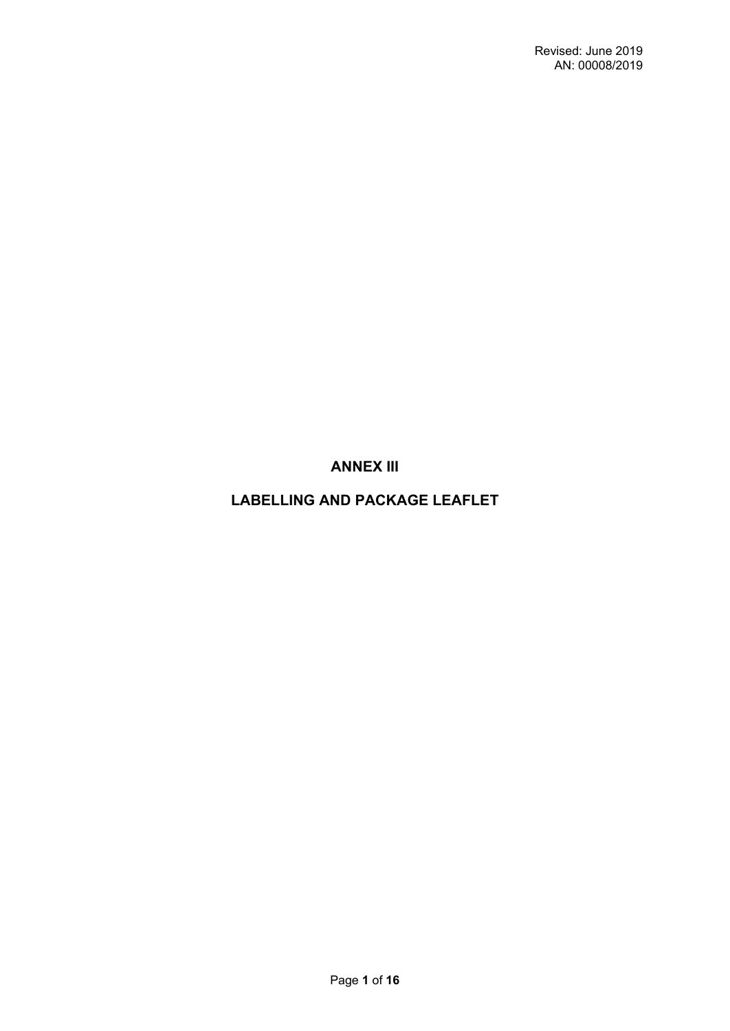**ANNEX III**

# **LABELLING AND PACKAGE LEAFLET**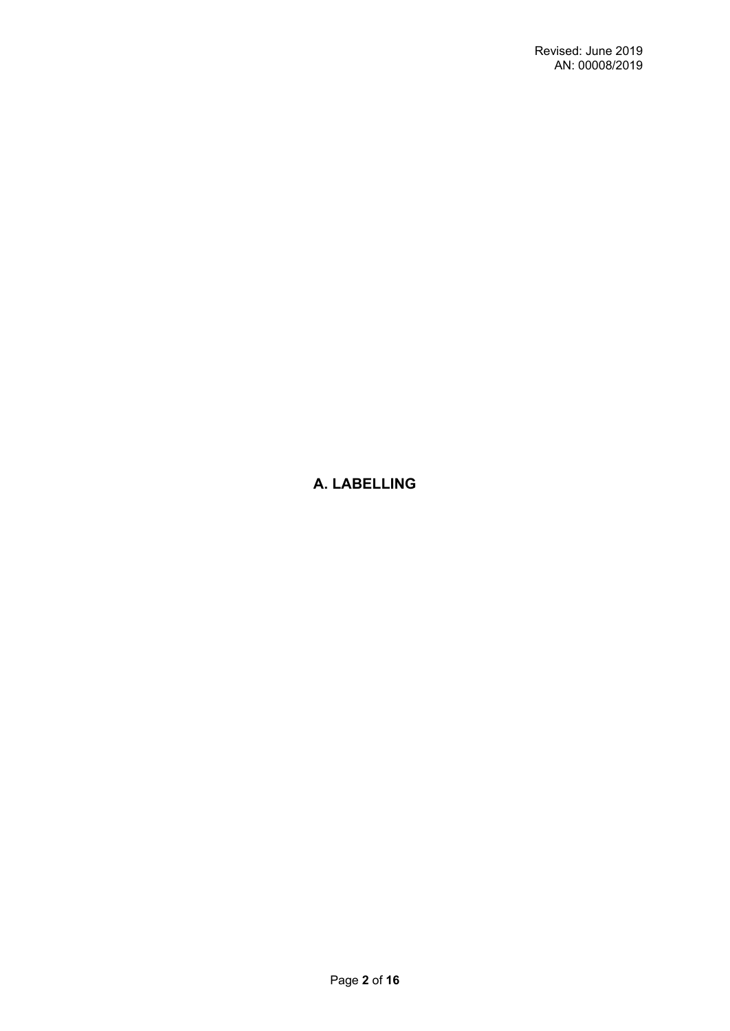# **A. LABELLING**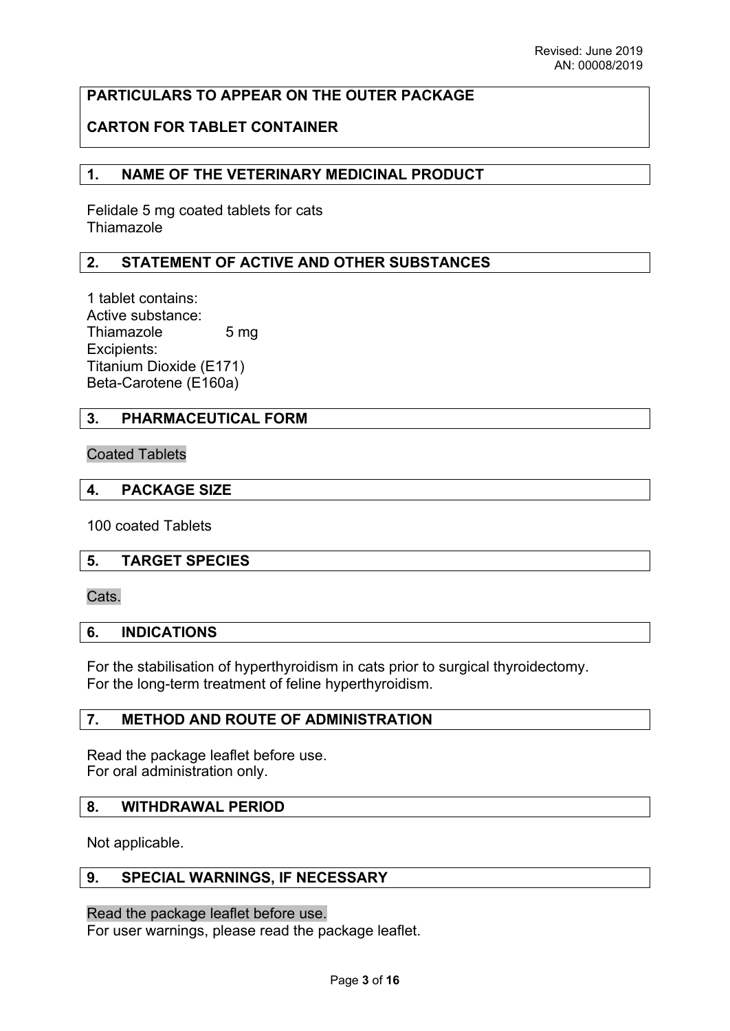# **PARTICULARS TO APPEAR ON THE OUTER PACKAGE**

# **CARTON FOR TABLET CONTAINER**

## **1. NAME OF THE VETERINARY MEDICINAL PRODUCT**

Felidale 5 mg coated tablets for cats Thiamazole

# **2. STATEMENT OF ACTIVE AND OTHER SUBSTANCES**

1 tablet contains: Active substance: Thiamazole 5 mg Excipients: Titanium Dioxide (E171) Beta-Carotene (E160a)

## **3. PHARMACEUTICAL FORM**

#### Coated Tablets

#### **4. PACKAGE SIZE**

100 coated Tablets

### **5. TARGET SPECIES**

Cats.

### **6. INDICATIONS**

For the stabilisation of hyperthyroidism in cats prior to surgical thyroidectomy. For the long-term treatment of feline hyperthyroidism.

### **7. METHOD AND ROUTE OF ADMINISTRATION**

Read the package leaflet before use. For oral administration only.

### **8. WITHDRAWAL PERIOD**

Not applicable.

## **9. SPECIAL WARNINGS, IF NECESSARY**

#### Read the package leaflet before use.

For user warnings, please read the package leaflet.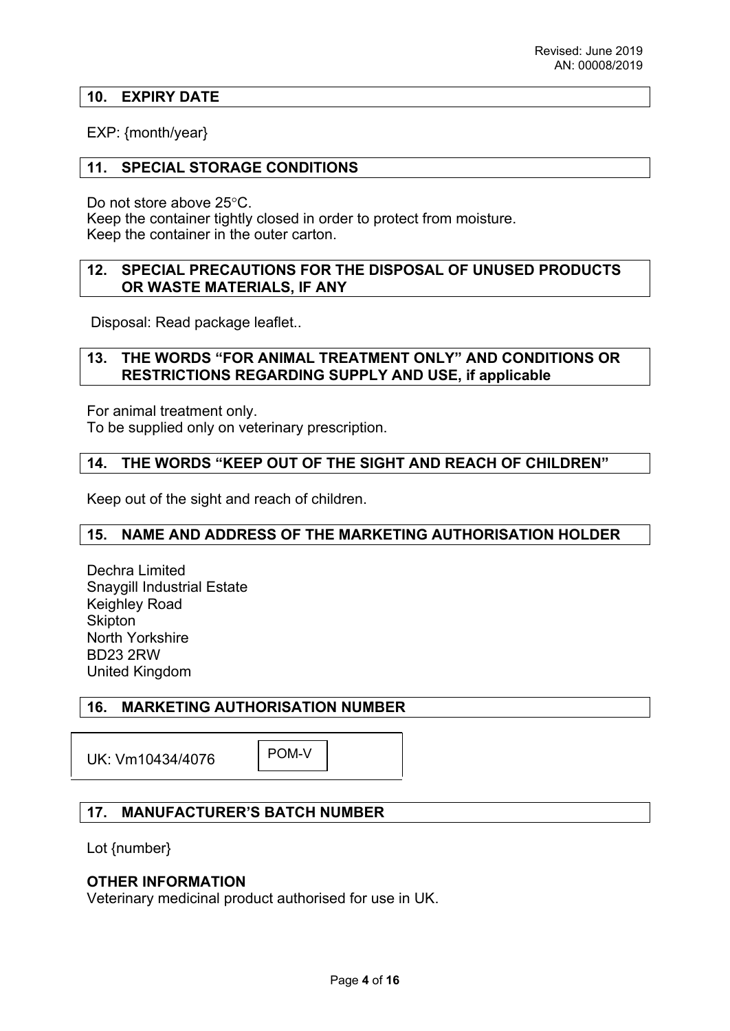## **10. EXPIRY DATE**

## EXP: {month/year}

## **11. SPECIAL STORAGE CONDITIONS**

Do not store above 25°C.

Keep the container tightly closed in order to protect from moisture. Keep the container in the outer carton.

## **12. SPECIAL PRECAUTIONS FOR THE DISPOSAL OF UNUSED PRODUCTS OR WASTE MATERIALS, IF ANY**

Disposal: Read package leaflet..

## **13. THE WORDS "FOR ANIMAL TREATMENT ONLY" AND CONDITIONS OR RESTRICTIONS REGARDING SUPPLY AND USE, if applicable**

For animal treatment only.

To be supplied only on veterinary prescription.

## **14. THE WORDS "KEEP OUT OF THE SIGHT AND REACH OF CHILDREN"**

Keep out of the sight and reach of children.

# **15. NAME AND ADDRESS OF THE MARKETING AUTHORISATION HOLDER**

Dechra Limited Snaygill Industrial Estate Keighley Road **Skipton** North Yorkshire BD23 2RW United Kingdom

# **16. MARKETING AUTHORISATION NUMBER**

UK: Vm10434/4076

POM-V

# **17. MANUFACTURER'S BATCH NUMBER**

Lot {number}

### **OTHER INFORMATION**

Veterinary medicinal product authorised for use in UK.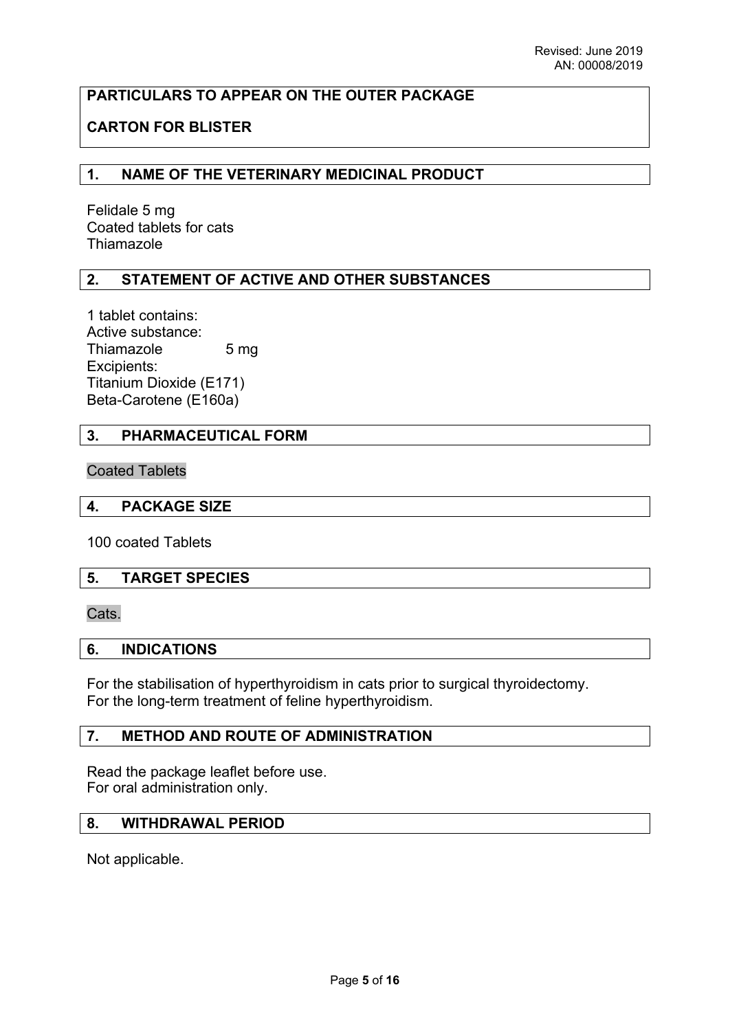# **PARTICULARS TO APPEAR ON THE OUTER PACKAGE**

# **CARTON FOR BLISTER**

## **1. NAME OF THE VETERINARY MEDICINAL PRODUCT**

Felidale 5 mg Coated tablets for cats Thiamazole

## **2. STATEMENT OF ACTIVE AND OTHER SUBSTANCES**

1 tablet contains: Active substance: Thiamazole 5 mg Excipients: Titanium Dioxide (E171) Beta-Carotene (E160a)

## **3. PHARMACEUTICAL FORM**

Coated Tablets

### **4. PACKAGE SIZE**

100 coated Tablets

### **5. TARGET SPECIES**

Cats.

#### **6. INDICATIONS**

For the stabilisation of hyperthyroidism in cats prior to surgical thyroidectomy. For the long-term treatment of feline hyperthyroidism.

### **7. METHOD AND ROUTE OF ADMINISTRATION**

Read the package leaflet before use. For oral administration only.

# **8. WITHDRAWAL PERIOD**

Not applicable.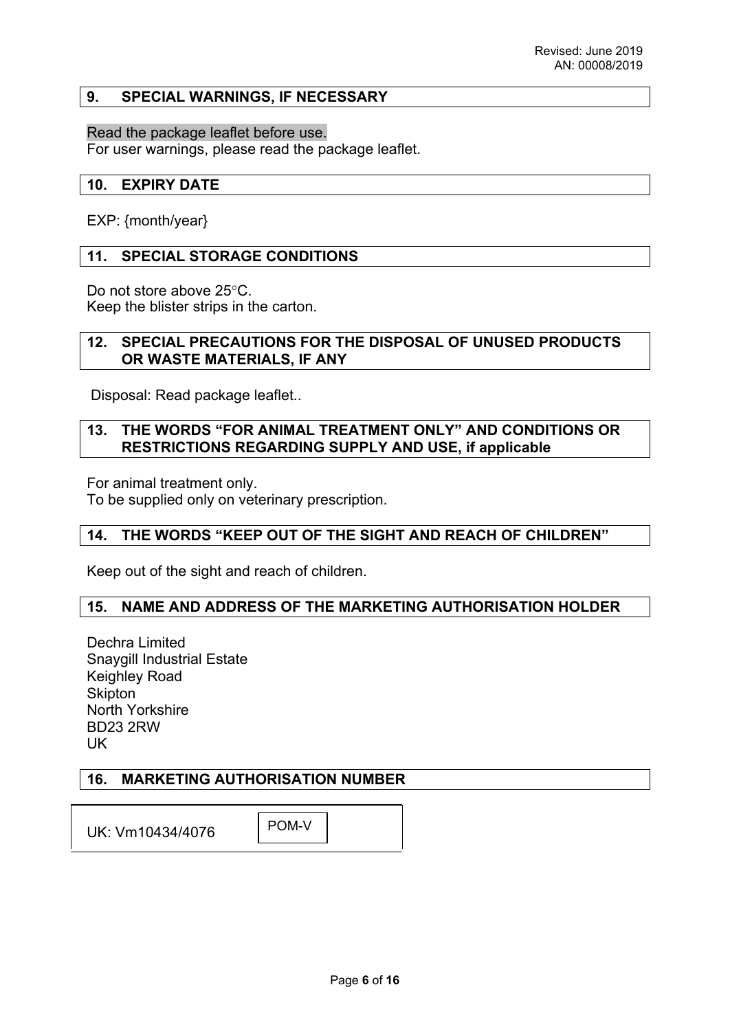### **9. SPECIAL WARNINGS, IF NECESSARY**

### Read the package leaflet before use.

For user warnings, please read the package leaflet.

### **10. EXPIRY DATE**

EXP: {month/year}

### **11. SPECIAL STORAGE CONDITIONS**

Do not store above 25°C. Keep the blister strips in the carton.

## **12. SPECIAL PRECAUTIONS FOR THE DISPOSAL OF UNUSED PRODUCTS OR WASTE MATERIALS, IF ANY**

Disposal: Read package leaflet..

### **13. THE WORDS "FOR ANIMAL TREATMENT ONLY" AND CONDITIONS OR RESTRICTIONS REGARDING SUPPLY AND USE, if applicable**

For animal treatment only.

To be supplied only on veterinary prescription.

# **14. THE WORDS "KEEP OUT OF THE SIGHT AND REACH OF CHILDREN"**

Keep out of the sight and reach of children.

### **15. NAME AND ADDRESS OF THE MARKETING AUTHORISATION HOLDER**

Dechra Limited Snaygill Industrial Estate Keighley Road **Skipton** North Yorkshire BD23 2RW UK

### **16. MARKETING AUTHORISATION NUMBER**

UK: Vm10434/4076 POM-V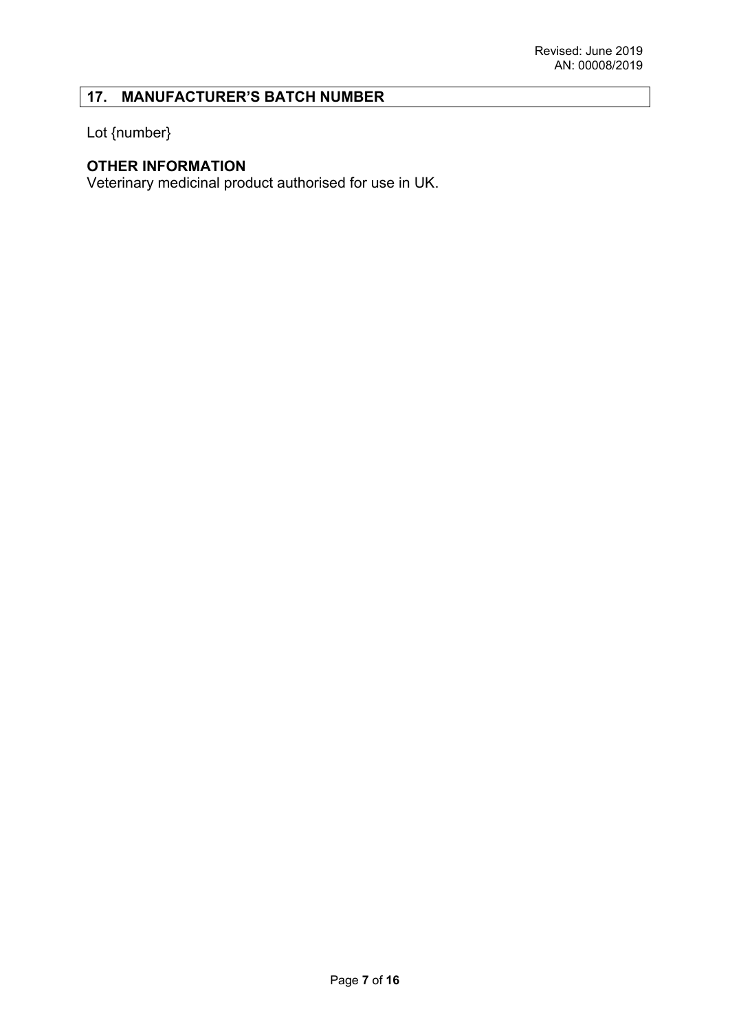# **17. MANUFACTURER'S BATCH NUMBER**

Lot {number}

# **OTHER INFORMATION**

Veterinary medicinal product authorised for use in UK.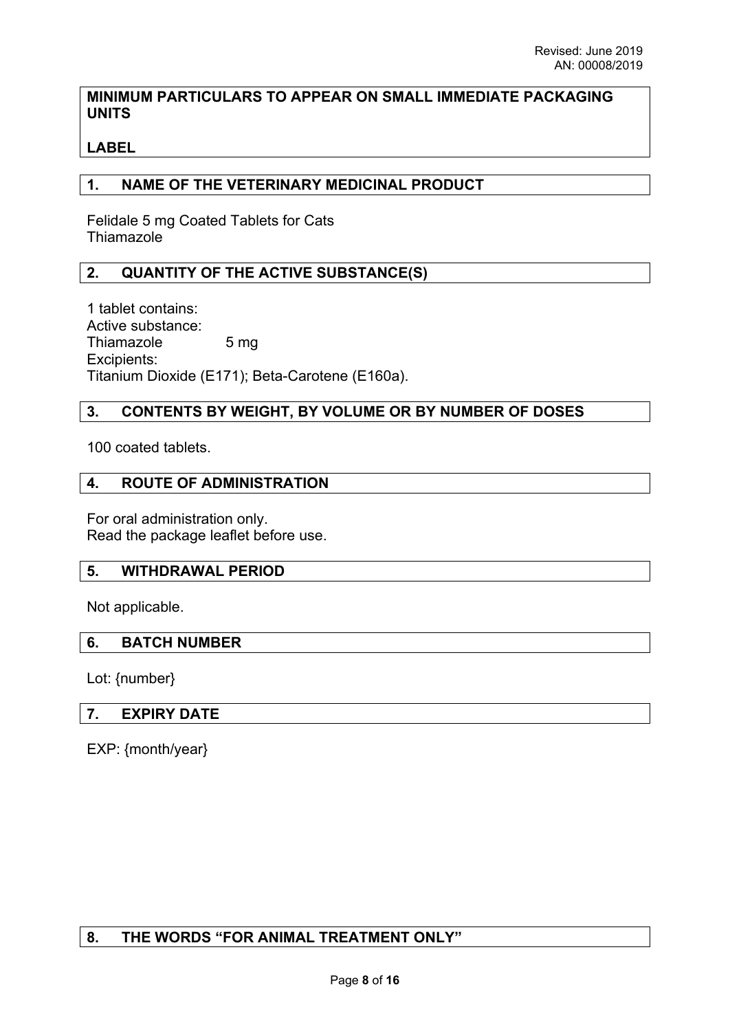# **MINIMUM PARTICULARS TO APPEAR ON SMALL IMMEDIATE PACKAGING UNITS**

# **LABEL**

# **1. NAME OF THE VETERINARY MEDICINAL PRODUCT**

Felidale 5 mg Coated Tablets for Cats **Thiamazole** 

## **2. QUANTITY OF THE ACTIVE SUBSTANCE(S)**

1 tablet contains: Active substance: Thiamazole 5 mg Excipients: Titanium Dioxide (E171); Beta-Carotene (E160a).

# **3. CONTENTS BY WEIGHT, BY VOLUME OR BY NUMBER OF DOSES**

100 coated tablets.

## **4. ROUTE OF ADMINISTRATION**

For oral administration only. Read the package leaflet before use.

### **5. WITHDRAWAL PERIOD**

Not applicable.

### **6. BATCH NUMBER**

Lot: {number}

### **7. EXPIRY DATE**

EXP: {month/year}

# **8. THE WORDS "FOR ANIMAL TREATMENT ONLY"**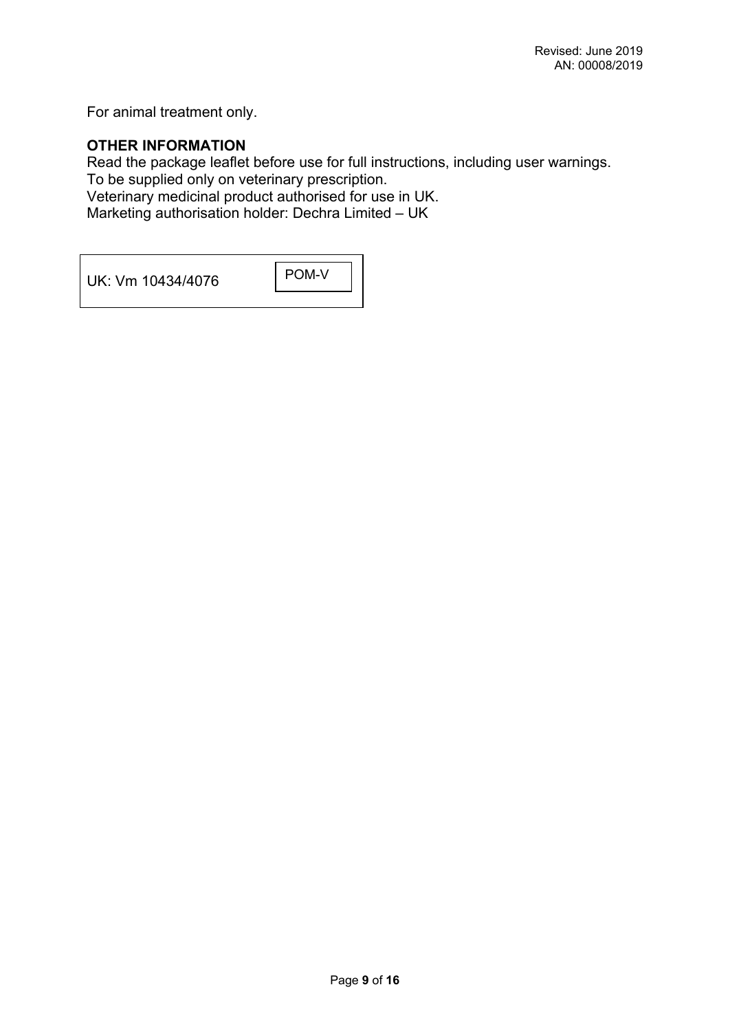For animal treatment only.

# **OTHER INFORMATION**

Read the package leaflet before use for full instructions, including user warnings. To be supplied only on veterinary prescription. Veterinary medicinal product authorised for use in UK.

Marketing authorisation holder: Dechra Limited – UK

UK: Vm 10434/4076 POM-V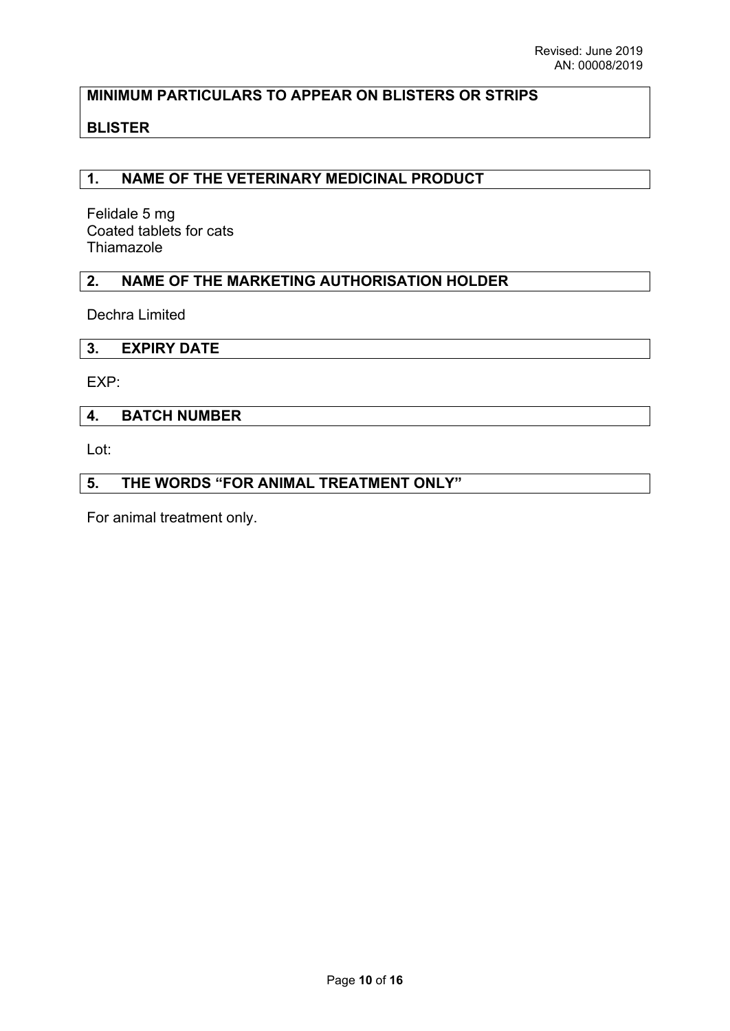# **MINIMUM PARTICULARS TO APPEAR ON BLISTERS OR STRIPS**

# **BLISTER**

## **1. NAME OF THE VETERINARY MEDICINAL PRODUCT**

Felidale 5 mg Coated tablets for cats **Thiamazole** 

## **2. NAME OF THE MARKETING AUTHORISATION HOLDER**

Dechra Limited

#### **3. EXPIRY DATE**

EXP:

### **4. BATCH NUMBER**

Lot:

## **5. THE WORDS "FOR ANIMAL TREATMENT ONLY"**

For animal treatment only.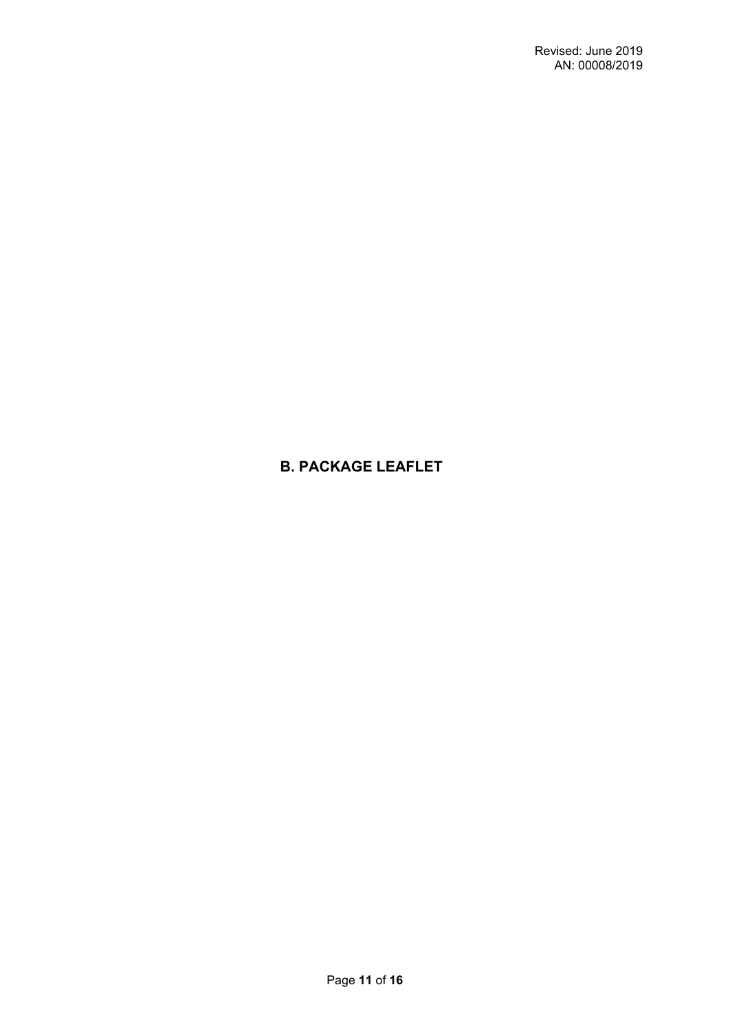# **B. PACKAGE LEAFLET**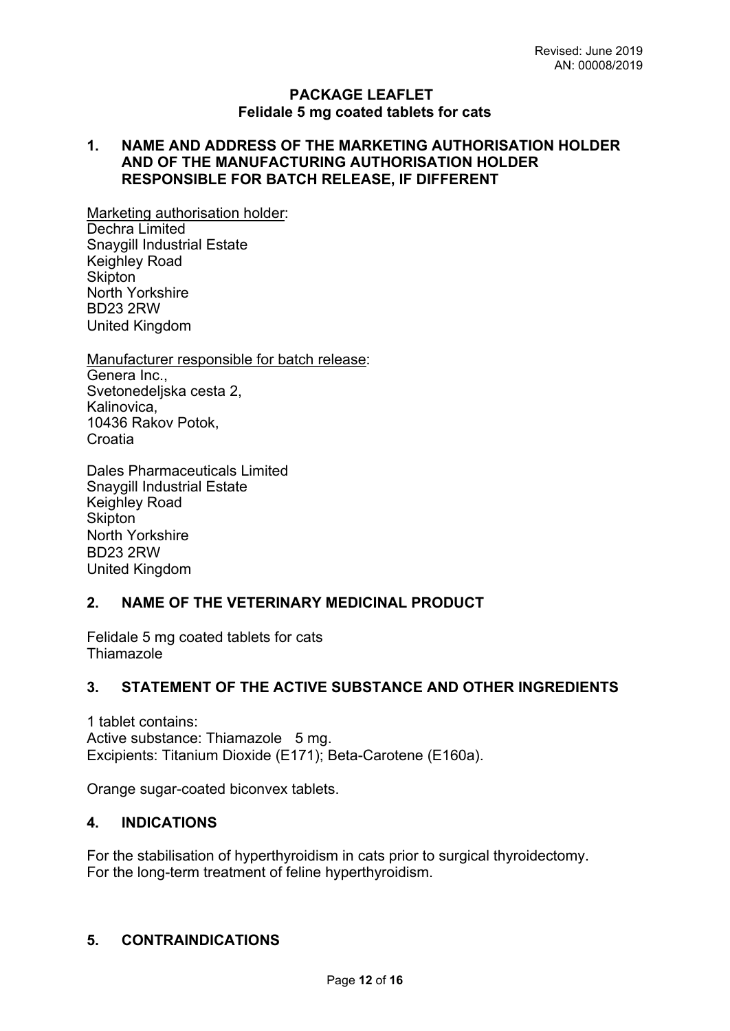## **PACKAGE LEAFLET Felidale 5 mg coated tablets for cats**

# **1. NAME AND ADDRESS OF THE MARKETING AUTHORISATION HOLDER AND OF THE MANUFACTURING AUTHORISATION HOLDER RESPONSIBLE FOR BATCH RELEASE, IF DIFFERENT**

Marketing authorisation holder: Dechra Limited Snaygill Industrial Estate Keighley Road Skipton<sup>1</sup> North Yorkshire BD23 2RW United Kingdom

Manufacturer responsible for batch release: Genera Inc., Svetonedeljska cesta 2, Kalinovica, 10436 Rakov Potok, Croatia

Dales Pharmaceuticals Limited Snaygill Industrial Estate Keighley Road **Skipton** North Yorkshire BD23 2RW United Kingdom

# **2. NAME OF THE VETERINARY MEDICINAL PRODUCT**

Felidale 5 mg coated tablets for cats **Thiamazole** 

# **3. STATEMENT OF THE ACTIVE SUBSTANCE AND OTHER INGREDIENTS**

1 tablet contains: Active substance: Thiamazole 5 mg. Excipients: Titanium Dioxide (E171); Beta-Carotene (E160a).

Orange sugar-coated biconvex tablets.

# **4. INDICATIONS**

For the stabilisation of hyperthyroidism in cats prior to surgical thyroidectomy. For the long-term treatment of feline hyperthyroidism.

# **5. CONTRAINDICATIONS**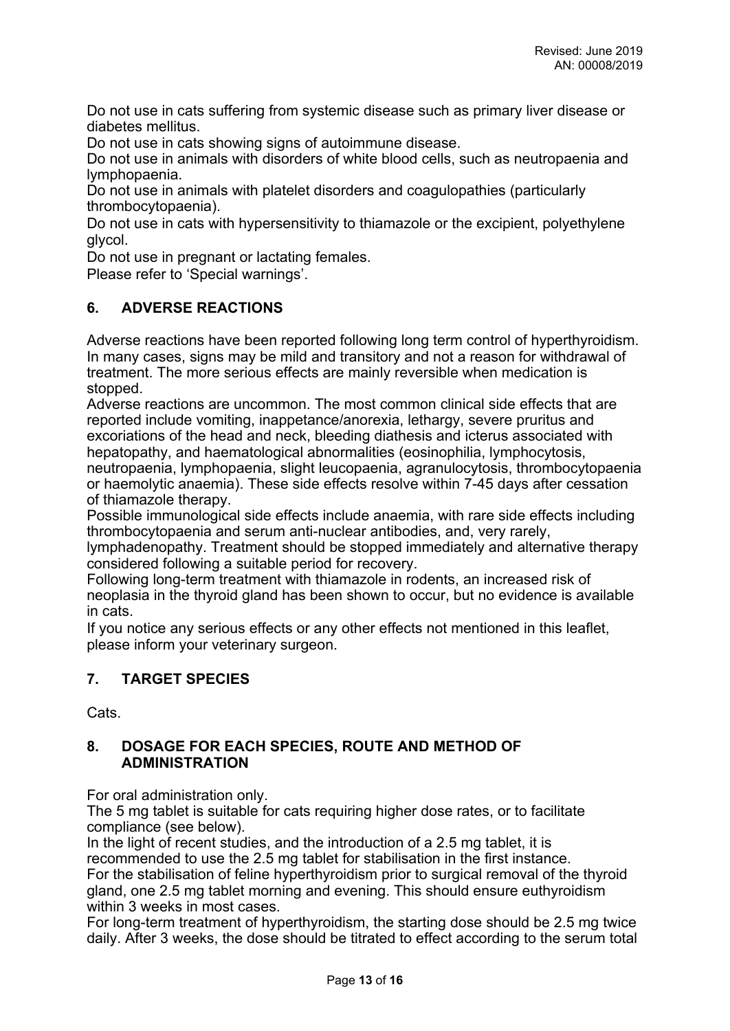Do not use in cats suffering from systemic disease such as primary liver disease or diabetes mellitus.

Do not use in cats showing signs of autoimmune disease.

Do not use in animals with disorders of white blood cells, such as neutropaenia and lymphopaenia.

Do not use in animals with platelet disorders and coagulopathies (particularly thrombocytopaenia).

Do not use in cats with hypersensitivity to thiamazole or the excipient, polyethylene glycol.

Do not use in pregnant or lactating females.

Please refer to 'Special warnings'.

## **6. ADVERSE REACTIONS**

Adverse reactions have been reported following long term control of hyperthyroidism. In many cases, signs may be mild and transitory and not a reason for withdrawal of treatment. The more serious effects are mainly reversible when medication is stopped.

Adverse reactions are uncommon. The most common clinical side effects that are reported include vomiting, inappetance/anorexia, lethargy, severe pruritus and excoriations of the head and neck, bleeding diathesis and icterus associated with hepatopathy, and haematological abnormalities (eosinophilia, lymphocytosis, neutropaenia, lymphopaenia, slight leucopaenia, agranulocytosis, thrombocytopaenia or haemolytic anaemia). These side effects resolve within 7-45 days after cessation of thiamazole therapy.

Possible immunological side effects include anaemia, with rare side effects including thrombocytopaenia and serum anti-nuclear antibodies, and, very rarely,

lymphadenopathy. Treatment should be stopped immediately and alternative therapy considered following a suitable period for recovery.

Following long-term treatment with thiamazole in rodents, an increased risk of neoplasia in the thyroid gland has been shown to occur, but no evidence is available in cats.

If you notice any serious effects or any other effects not mentioned in this leaflet, please inform your veterinary surgeon.

# **7. TARGET SPECIES**

Cats.

# **8. DOSAGE FOR EACH SPECIES, ROUTE AND METHOD OF ADMINISTRATION**

For oral administration only.

The 5 mg tablet is suitable for cats requiring higher dose rates, or to facilitate compliance (see below).

In the light of recent studies, and the introduction of a 2.5 mg tablet, it is recommended to use the 2.5 mg tablet for stabilisation in the first instance. For the stabilisation of feline hyperthyroidism prior to surgical removal of the thyroid gland, one 2.5 mg tablet morning and evening. This should ensure euthyroidism within 3 weeks in most cases.

For long-term treatment of hyperthyroidism, the starting dose should be 2.5 mg twice daily. After 3 weeks, the dose should be titrated to effect according to the serum total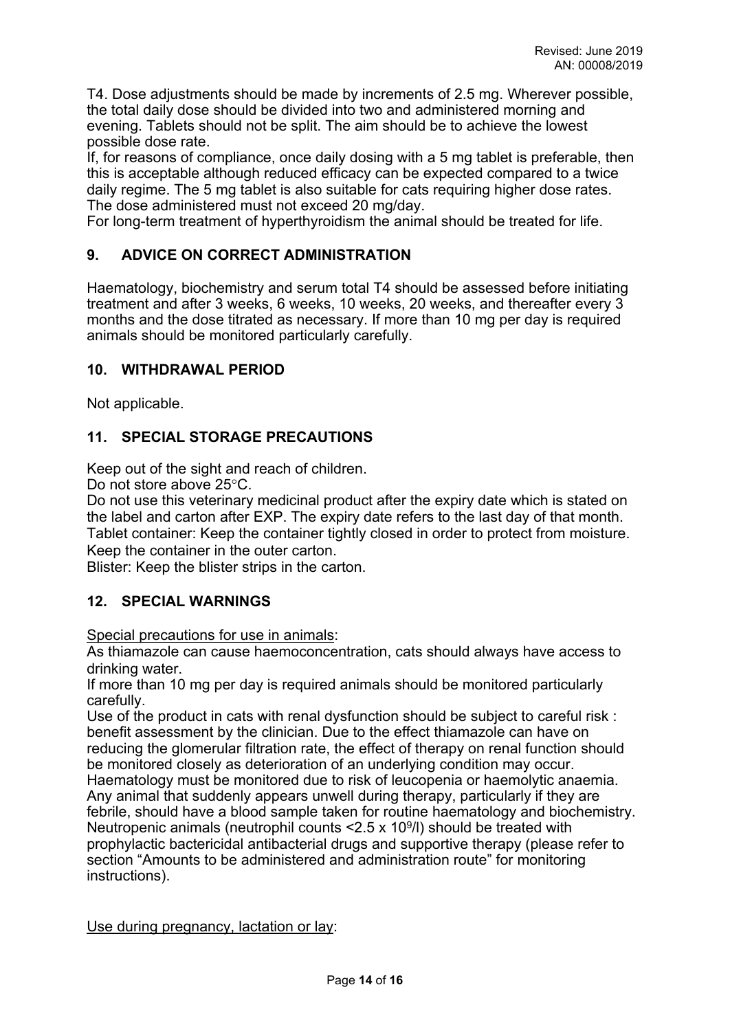T4. Dose adjustments should be made by increments of 2.5 mg. Wherever possible, the total daily dose should be divided into two and administered morning and evening. Tablets should not be split. The aim should be to achieve the lowest possible dose rate.

If, for reasons of compliance, once daily dosing with a 5 mg tablet is preferable, then this is acceptable although reduced efficacy can be expected compared to a twice daily regime. The 5 mg tablet is also suitable for cats requiring higher dose rates. The dose administered must not exceed 20 mg/day.

For long-term treatment of hyperthyroidism the animal should be treated for life.

# **9. ADVICE ON CORRECT ADMINISTRATION**

Haematology, biochemistry and serum total T4 should be assessed before initiating treatment and after 3 weeks, 6 weeks, 10 weeks, 20 weeks, and thereafter every 3 months and the dose titrated as necessary. If more than 10 mg per day is required animals should be monitored particularly carefully.

## **10. WITHDRAWAL PERIOD**

Not applicable.

# **11. SPECIAL STORAGE PRECAUTIONS**

Keep out of the sight and reach of children.

Do not store above 25°C.

Do not use this veterinary medicinal product after the expiry date which is stated on the label and carton after EXP. The expiry date refers to the last day of that month. Tablet container: Keep the container tightly closed in order to protect from moisture. Keep the container in the outer carton.

Blister: Keep the blister strips in the carton.

# **12. SPECIAL WARNINGS**

Special precautions for use in animals:

As thiamazole can cause haemoconcentration, cats should always have access to drinking water.

If more than 10 mg per day is required animals should be monitored particularly carefully.

Use of the product in cats with renal dysfunction should be subject to careful risk : benefit assessment by the clinician. Due to the effect thiamazole can have on reducing the glomerular filtration rate, the effect of therapy on renal function should be monitored closely as deterioration of an underlying condition may occur. Haematology must be monitored due to risk of leucopenia or haemolytic anaemia. Any animal that suddenly appears unwell during therapy, particularly if they are febrile, should have a blood sample taken for routine haematology and biochemistry. Neutropenic animals (neutrophil counts  $\leq$  2.5 x 10<sup>9</sup>/l) should be treated with prophylactic bactericidal antibacterial drugs and supportive therapy (please refer to section "Amounts to be administered and administration route" for monitoring instructions).

Use during pregnancy, lactation or lay: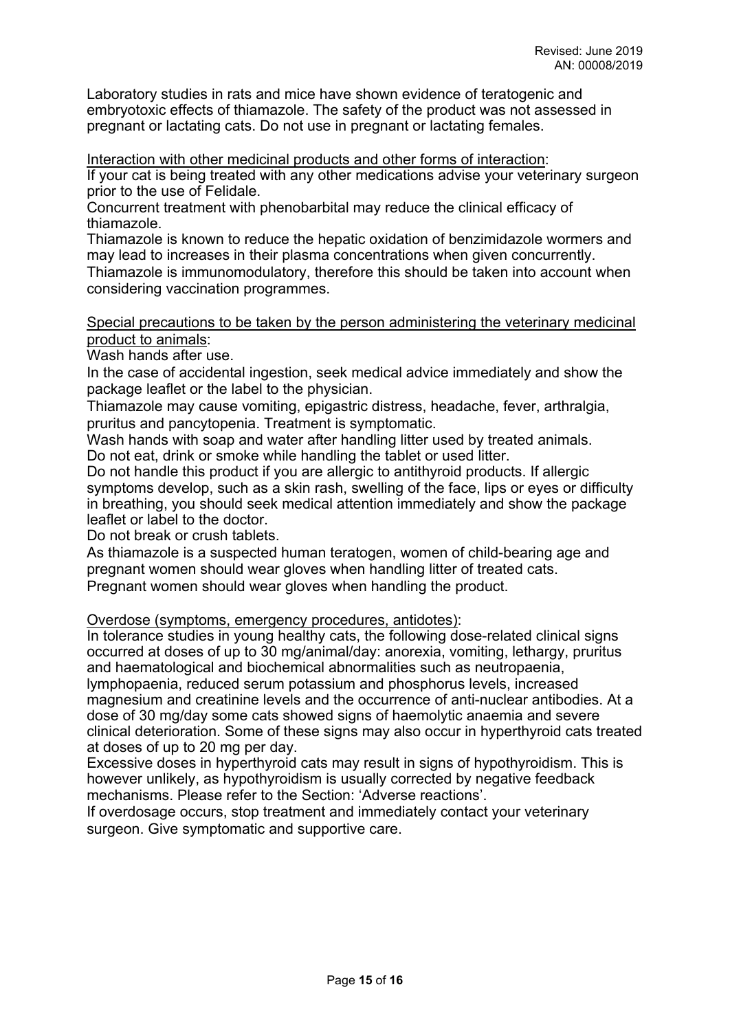Laboratory studies in rats and mice have shown evidence of teratogenic and embryotoxic effects of thiamazole. The safety of the product was not assessed in pregnant or lactating cats. Do not use in pregnant or lactating females.

Interaction with other medicinal products and other forms of interaction:

If your cat is being treated with any other medications advise your veterinary surgeon prior to the use of Felidale.

Concurrent treatment with phenobarbital may reduce the clinical efficacy of thiamazole.

Thiamazole is known to reduce the hepatic oxidation of benzimidazole wormers and may lead to increases in their plasma concentrations when given concurrently.

Thiamazole is immunomodulatory, therefore this should be taken into account when considering vaccination programmes.

### Special precautions to be taken by the person administering the veterinary medicinal product to animals:

Wash hands after use.

In the case of accidental ingestion, seek medical advice immediately and show the package leaflet or the label to the physician.

Thiamazole may cause vomiting, epigastric distress, headache, fever, arthralgia, pruritus and pancytopenia. Treatment is symptomatic.

Wash hands with soap and water after handling litter used by treated animals. Do not eat, drink or smoke while handling the tablet or used litter.

Do not handle this product if you are allergic to antithyroid products. If allergic symptoms develop, such as a skin rash, swelling of the face, lips or eyes or difficulty in breathing, you should seek medical attention immediately and show the package leaflet or label to the doctor.

Do not break or crush tablets.

As thiamazole is a suspected human teratogen, women of child-bearing age and pregnant women should wear gloves when handling litter of treated cats. Pregnant women should wear gloves when handling the product.

Overdose (symptoms, emergency procedures, antidotes):

In tolerance studies in young healthy cats, the following dose-related clinical signs occurred at doses of up to 30 mg/animal/day: anorexia, vomiting, lethargy, pruritus and haematological and biochemical abnormalities such as neutropaenia, lymphopaenia, reduced serum potassium and phosphorus levels, increased magnesium and creatinine levels and the occurrence of anti-nuclear antibodies. At a dose of 30 mg/day some cats showed signs of haemolytic anaemia and severe clinical deterioration. Some of these signs may also occur in hyperthyroid cats treated at doses of up to 20 mg per day.

Excessive doses in hyperthyroid cats may result in signs of hypothyroidism. This is however unlikely, as hypothyroidism is usually corrected by negative feedback mechanisms. Please refer to the Section: 'Adverse reactions'.

If overdosage occurs, stop treatment and immediately contact your veterinary surgeon. Give symptomatic and supportive care.